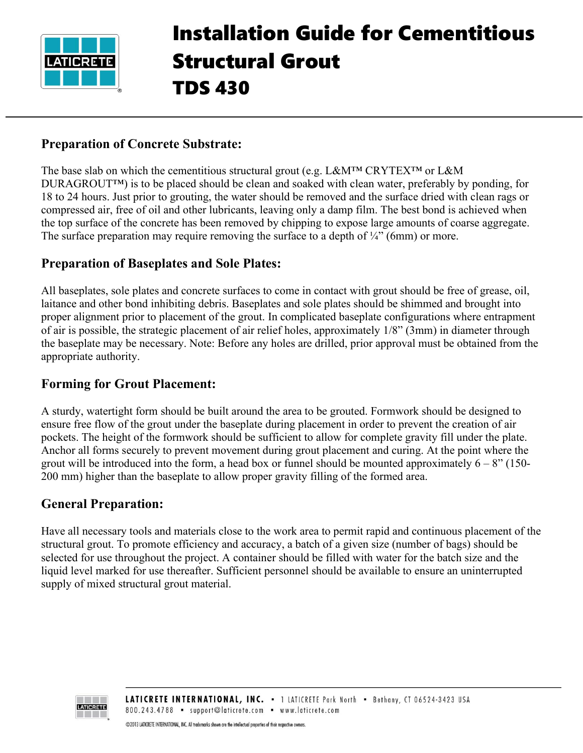

# Installation Guide for Cementitious Structural Grout TDS 430

#### **Preparation of Concrete Substrate:**

The base slab on which the cementitious structural grout (e.g. L&M<sup>™</sup> CRYTEX<sup>™</sup> or L&M DURAGROUT™) is to be placed should be clean and soaked with clean water, preferably by ponding, for 18 to 24 hours. Just prior to grouting, the water should be removed and the surface dried with clean rags or compressed air, free of oil and other lubricants, leaving only a damp film. The best bond is achieved when the top surface of the concrete has been removed by chipping to expose large amounts of coarse aggregate. The surface preparation may require removing the surface to a depth of  $\frac{1}{4}$ " (6mm) or more.

#### **Preparation of Baseplates and Sole Plates:**

All baseplates, sole plates and concrete surfaces to come in contact with grout should be free of grease, oil, laitance and other bond inhibiting debris. Baseplates and sole plates should be shimmed and brought into proper alignment prior to placement of the grout. In complicated baseplate configurations where entrapment of air is possible, the strategic placement of air relief holes, approximately 1/8" (3mm) in diameter through the baseplate may be necessary. Note: Before any holes are drilled, prior approval must be obtained from the appropriate authority.

#### **Forming for Grout Placement:**

A sturdy, watertight form should be built around the area to be grouted. Formwork should be designed to ensure free flow of the grout under the baseplate during placement in order to prevent the creation of air pockets. The height of the formwork should be sufficient to allow for complete gravity fill under the plate. Anchor all forms securely to prevent movement during grout placement and curing. At the point where the grout will be introduced into the form, a head box or funnel should be mounted approximately  $6 - 8$ " (150-200 mm) higher than the baseplate to allow proper gravity filling of the formed area.

#### **General Preparation:**

Have all necessary tools and materials close to the work area to permit rapid and continuous placement of the structural grout. To promote efficiency and accuracy, a batch of a given size (number of bags) should be selected for use throughout the project. A container should be filled with water for the batch size and the liquid level marked for use thereafter. Sufficient personnel should be available to ensure an uninterrupted supply of mixed structural grout material.

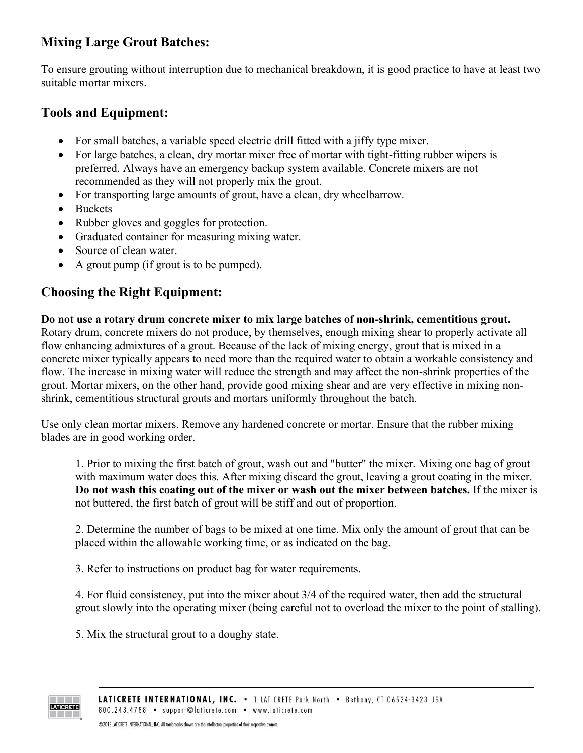# **Mixing Large Grout Batches:**

To ensure grouting without interruption due to mechanical breakdown, it is good practice to have at least two suitable mortar mixers.

## **Tools and Equipment:**

- For small batches, a variable speed electric drill fitted with a jiffy type mixer.
- For large batches, a clean, dry mortar mixer free of mortar with tight-fitting rubber wipers is preferred. Always have an emergency backup system available. Concrete mixers are not recommended as they will not properly mix the grout.
- For transporting large amounts of grout, have a clean, dry wheelbarrow.
- Buckets

**LATICRETE** 

- Rubber gloves and goggles for protection.
- Graduated container for measuring mixing water.
- Source of clean water.
- A grout pump (if grout is to be pumped).

## **Choosing the Right Equipment:**

**Do not use a rotary drum concrete mixer to mix large batches of non-shrink, cementitious grout.** Rotary drum, concrete mixers do not produce, by themselves, enough mixing shear to properly activate all flow enhancing admixtures of a grout. Because of the lack of mixing energy, grout that is mixed in a concrete mixer typically appears to need more than the required water to obtain a workable consistency and flow. The increase in mixing water will reduce the strength and may affect the non-shrink properties of the grout. Mortar mixers, on the other hand, provide good mixing shear and are very effective in mixing nonshrink, cementitious structural grouts and mortars uniformly throughout the batch.

Use only clean mortar mixers. Remove any hardened concrete or mortar. Ensure that the rubber mixing blades are in good working order.

1. Prior to mixing the first batch of grout, wash out and "butter" the mixer. Mixing one bag of grout with maximum water does this. After mixing discard the grout, leaving a grout coating in the mixer. **Do not wash this coating out of the mixer or wash out the mixer between batches.** If the mixer is not buttered, the first batch of grout will be stiff and out of proportion.

2. Determine the number of bags to be mixed at one time. Mix only the amount of grout that can be placed within the allowable working time, or as indicated on the bag.

3. Refer to instructions on product bag for water requirements.

4. For fluid consistency, put into the mixer about 3/4 of the required water, then add the structural grout slowly into the operating mixer (being careful not to overload the mixer to the point of stalling).

5. Mix the structural grout to a doughy state.

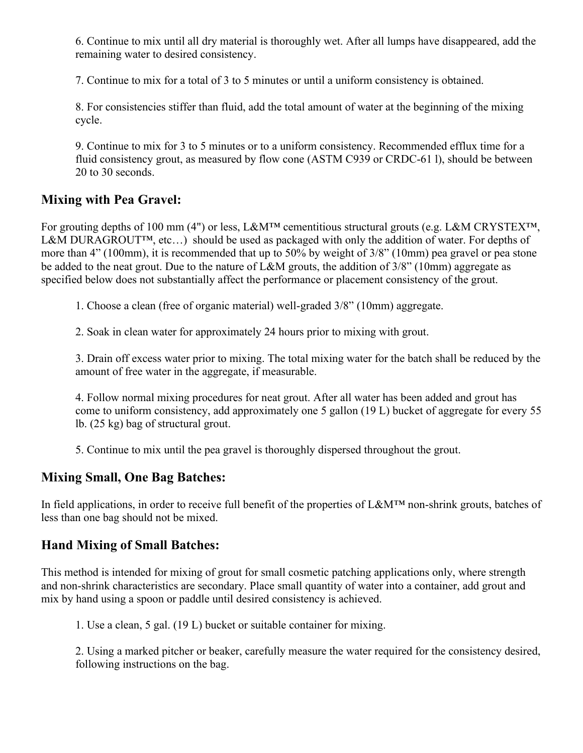6. Continue to mix until all dry material is thoroughly wet. After all lumps have disappeared, add the remaining water to desired consistency.

7. Continue to mix for a total of 3 to 5 minutes or until a uniform consistency is obtained.

8. For consistencies stiffer than fluid, add the total amount of water at the beginning of the mixing cycle.

9. Continue to mix for 3 to 5 minutes or to a uniform consistency. Recommended efflux time for a fluid consistency grout, as measured by flow cone (ASTM C939 or CRDC-61 l), should be between 20 to 30 seconds.

## **Mixing with Pea Gravel:**

For grouting depths of 100 mm (4") or less, L&M™ cementitious structural grouts (e.g. L&M CRYSTEX™, L&M DURAGROUT<sup>™</sup>, etc...) should be used as packaged with only the addition of water. For depths of more than 4" (100mm), it is recommended that up to 50% by weight of 3/8" (10mm) pea gravel or pea stone be added to the neat grout. Due to the nature of L&M grouts, the addition of 3/8" (10mm) aggregate as specified below does not substantially affect the performance or placement consistency of the grout.

1. Choose a clean (free of organic material) well-graded 3/8" (10mm) aggregate.

2. Soak in clean water for approximately 24 hours prior to mixing with grout.

3. Drain off excess water prior to mixing. The total mixing water for the batch shall be reduced by the amount of free water in the aggregate, if measurable.

4. Follow normal mixing procedures for neat grout. After all water has been added and grout has come to uniform consistency, add approximately one 5 gallon (19 L) bucket of aggregate for every 55 lb. (25 kg) bag of structural grout.

5. Continue to mix until the pea gravel is thoroughly dispersed throughout the grout.

#### **Mixing Small, One Bag Batches:**

In field applications, in order to receive full benefit of the properties of L&M™ non-shrink grouts, batches of less than one bag should not be mixed.

## **Hand Mixing of Small Batches:**

This method is intended for mixing of grout for small cosmetic patching applications only, where strength and non-shrink characteristics are secondary. Place small quantity of water into a container, add grout and mix by hand using a spoon or paddle until desired consistency is achieved.

1. Use a clean, 5 gal. (19 L) bucket or suitable container for mixing.

2. Using a marked pitcher or beaker, carefully measure the water required for the consistency desired, following instructions on the bag.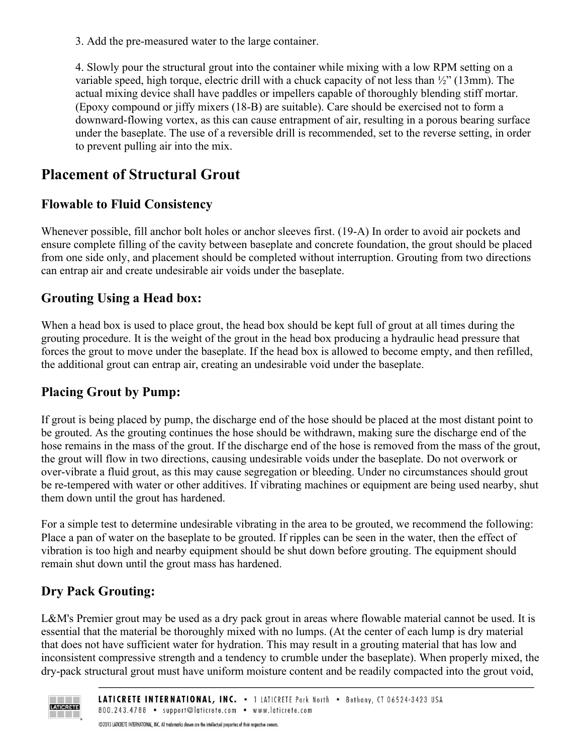3. Add the pre-measured water to the large container.

4. Slowly pour the structural grout into the container while mixing with a low RPM setting on a variable speed, high torque, electric drill with a chuck capacity of not less than  $\frac{1}{2}$ " (13mm). The actual mixing device shall have paddles or impellers capable of thoroughly blending stiff mortar. (Epoxy compound or jiffy mixers (18-B) are suitable). Care should be exercised not to form a downward-flowing vortex, as this can cause entrapment of air, resulting in a porous bearing surface under the baseplate. The use of a reversible drill is recommended, set to the reverse setting, in order to prevent pulling air into the mix.

# **Placement of Structural Grout**

## **Flowable to Fluid Consistency**

Whenever possible, fill anchor bolt holes or anchor sleeves first. (19-A) In order to avoid air pockets and ensure complete filling of the cavity between baseplate and concrete foundation, the grout should be placed from one side only, and placement should be completed without interruption. Grouting from two directions can entrap air and create undesirable air voids under the baseplate.

## **Grouting Using a Head box:**

When a head box is used to place grout, the head box should be kept full of grout at all times during the grouting procedure. It is the weight of the grout in the head box producing a hydraulic head pressure that forces the grout to move under the baseplate. If the head box is allowed to become empty, and then refilled, the additional grout can entrap air, creating an undesirable void under the baseplate.

## **Placing Grout by Pump:**

If grout is being placed by pump, the discharge end of the hose should be placed at the most distant point to be grouted. As the grouting continues the hose should be withdrawn, making sure the discharge end of the hose remains in the mass of the grout. If the discharge end of the hose is removed from the mass of the grout, the grout will flow in two directions, causing undesirable voids under the baseplate. Do not overwork or over-vibrate a fluid grout, as this may cause segregation or bleeding. Under no circumstances should grout be re-tempered with water or other additives. If vibrating machines or equipment are being used nearby, shut them down until the grout has hardened.

For a simple test to determine undesirable vibrating in the area to be grouted, we recommend the following: Place a pan of water on the baseplate to be grouted. If ripples can be seen in the water, then the effect of vibration is too high and nearby equipment should be shut down before grouting. The equipment should remain shut down until the grout mass has hardened.

# **Dry Pack Grouting:**

L&M's Premier grout may be used as a dry pack grout in areas where flowable material cannot be used. It is essential that the material be thoroughly mixed with no lumps. (At the center of each lump is dry material that does not have sufficient water for hydration. This may result in a grouting material that has low and inconsistent compressive strength and a tendency to crumble under the baseplate). When properly mixed, the dry-pack structural grout must have uniform moisture content and be readily compacted into the grout void,

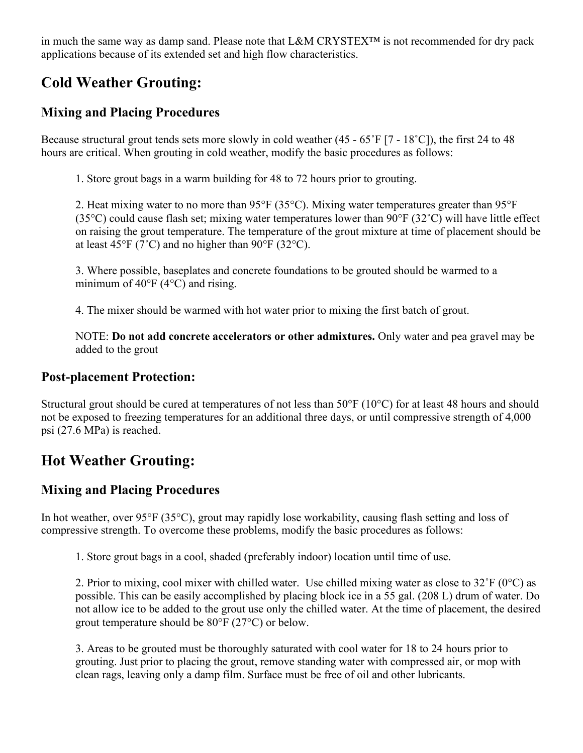in much the same way as damp sand. Please note that L&M CRYSTEX™ is not recommended for dry pack applications because of its extended set and high flow characteristics.

# **Cold Weather Grouting:**

## **Mixing and Placing Procedures**

Because structural grout tends sets more slowly in cold weather (45 - 65˚F [7 - 18˚C]), the first 24 to 48 hours are critical. When grouting in cold weather, modify the basic procedures as follows:

1. Store grout bags in a warm building for 48 to 72 hours prior to grouting.

2. Heat mixing water to no more than 95°F (35°C). Mixing water temperatures greater than 95°F (35°C) could cause flash set; mixing water temperatures lower than 90°F (32˚C) will have little effect on raising the grout temperature. The temperature of the grout mixture at time of placement should be at least 45°F (7°C) and no higher than 90°F (32°C).

3. Where possible, baseplates and concrete foundations to be grouted should be warmed to a minimum of  $40^{\circ}$ F ( $4^{\circ}$ C) and rising.

4. The mixer should be warmed with hot water prior to mixing the first batch of grout.

NOTE: **Do not add concrete accelerators or other admixtures.** Only water and pea gravel may be added to the grout

#### **Post-placement Protection:**

Structural grout should be cured at temperatures of not less than 50°F (10°C) for at least 48 hours and should not be exposed to freezing temperatures for an additional three days, or until compressive strength of 4,000 psi (27.6 MPa) is reached.

# **Hot Weather Grouting:**

## **Mixing and Placing Procedures**

In hot weather, over 95°F (35°C), grout may rapidly lose workability, causing flash setting and loss of compressive strength. To overcome these problems, modify the basic procedures as follows:

1. Store grout bags in a cool, shaded (preferably indoor) location until time of use.

2. Prior to mixing, cool mixer with chilled water. Use chilled mixing water as close to  $32^{\circ}F(0^{\circ}C)$  as possible. This can be easily accomplished by placing block ice in a 55 gal. (208 L) drum of water. Do not allow ice to be added to the grout use only the chilled water. At the time of placement, the desired grout temperature should be 80°F (27°C) or below.

3. Areas to be grouted must be thoroughly saturated with cool water for 18 to 24 hours prior to grouting. Just prior to placing the grout, remove standing water with compressed air, or mop with clean rags, leaving only a damp film. Surface must be free of oil and other lubricants.